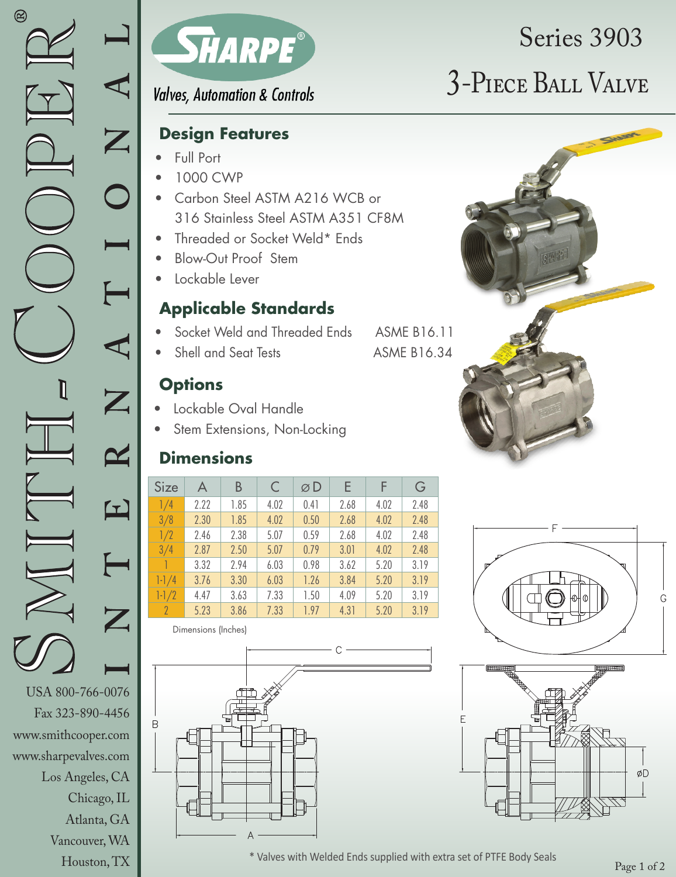Chicago, IL Atlanta, GA B

Vancouver, WA Houston, TX



**Valves, Automation & Controls** 

### **Design Features**

- Full Port
- 1000 CWP
- Carbon Steel ASTM A216 WCB or 316 Stainless Steel ASTM A351 CF8M
- Threaded or Socket Weld\* Ends
- Blow-Out Proof Stem
- Lockable Lever

## **Applicable Standards**

- Socket Weld and Threaded Ends ASME B16.11
- Shell and Seat Tests ASME B16.34

## **Options**

- Lockable Oval Handle
- Stem Extensions, Non-Locking

## **Dimensions**

| <b>Size</b>              | A    | В    | $\subset$ | øD   | Е    | E    | G    |
|--------------------------|------|------|-----------|------|------|------|------|
| 1/4                      | 2.22 | 1.85 | 4.02      | 0.41 | 2.68 | 4.02 | 2.48 |
| 3/8                      | 2.30 | 1.85 | 4.02      | 0.50 | 2.68 | 4.02 | 2.48 |
| 1/2                      | 2.46 | 2.38 | 5.07      | 0.59 | 2.68 | 4.02 | 2.48 |
| 3/4                      | 2.87 | 2.50 | 5.07      | 0.79 | 3.01 | 4.02 | 2.48 |
|                          | 3.32 | 2.94 | 6.03      | 0.98 | 3.62 | 5.20 | 3.19 |
| $1 - 1/4$                | 3.76 | 3.30 | 6.03      | 1.26 | 3.84 | 5.20 | 3.19 |
| $1-1/2$                  | 4.47 | 3.63 | 7.33      | 1.50 | 4.09 | 5.20 | 3.19 |
| $\overline{\phantom{a}}$ | 5.23 | 3.86 | 7.33      | 1.97 | 4.31 | 5.20 | 3.19 |

Dimensions (Inches)



# 3-Piece Ball Valve Series 3903